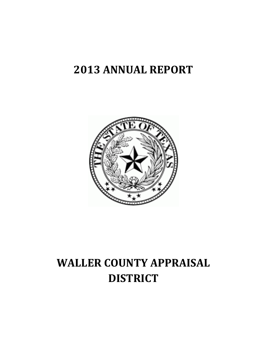# **2013 ANNUAL REPORT**



# **WALLER COUNTY APPRAISAL DISTRICT**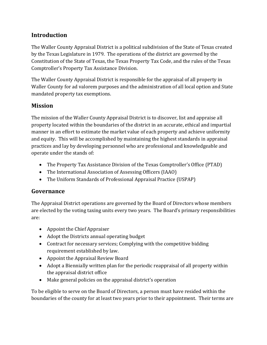## **Introduction**

The Waller County Appraisal District is a political subdivision of the State of Texas created by the Texas Legislature in 1979. The operations of the district are governed by the Constitution of the State of Texas, the Texas Property Tax Code, and the rules of the Texas Comptroller's Property Tax Assistance Division.

The Waller County Appraisal District is responsible for the appraisal of all property in Waller County for ad valorem purposes and the administration of all local option and State mandated property tax exemptions.

#### **Mission**

The mission of the Waller County Appraisal District is to discover, list and appraise all property located within the boundaries of the district in an accurate, ethical and impartial manner in an effort to estimate the market value of each property and achieve uniformity and equity. This will be accomplished by maintaining the highest standards in appraisal practices and lay by developing personnel who are professional and knowledgeable and operate under the stands of:

- The Property Tax Assistance Division of the Texas Comptroller's Office (PTAD)
- The International Association of Assessing Officers (IAAO)
- The Uniform Standards of Professional Appraisal Practice (USPAP)

#### **Governance**

The Appraisal District operations are governed by the Board of Directors whose members are elected by the voting taxing units every two years. The Board's primary responsibilities are:

- Appoint the Chief Appraiser
- Adopt the Districts annual operating budget
- Contract for necessary services; Complying with the competitive bidding requirement established by law.
- Appoint the Appraisal Review Board
- Adopt a Biennially written plan for the periodic reappraisal of all property within the appraisal district office
- Make general policies on the appraisal district's operation

To be eligible to serve on the Board of Directors, a person must have resided within the boundaries of the county for at least two years prior to their appointment. Their terms are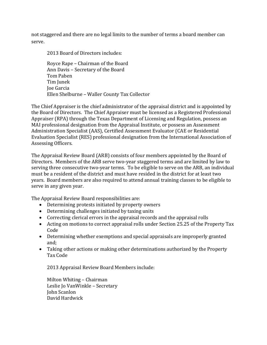not staggered and there are no legal limits to the number of terms a board member can serve.

2013 Board of Directors includes:

 Royce Rape – Chairman of the Board Ann Davis – Secretary of the Board Tom Paben Tim Junek Joe Garcia Ellen Shelburne – Waller County Tax Collector

The Chief Appraiser is the chief administrator of the appraisal district and is appointed by the Board of Directors. The Chief Appraiser must be licensed as a Registered Professional Appraiser (RPA) through the Texas Department of Licensing and Regulation, possess an MAI professional designation from the Appraisal Institute, or possess an Assessment Administration Specialist (AAS), Certified Assessment Evaluator (CAE or Residential Evaluation Specialist (RES) professional designation from the International Association of Assessing Officers.

The Appraisal Review Board (ARB) consists of four members appointed by the Board of Directors. Members of the ARB serve two-year staggered terms and are limited by law to serving three consecutive two-year terms. To be eligible to serve on the ARB, an individual must be a resident of the district and must have resided in the district for at least two years. Board members are also required to attend annual training classes to be eligible to serve in any given year.

The Appraisal Review Board responsibilities are:

- Determining protests initiated by property owners
- Determining challenges initiated by taxing units
- Correcting clerical errors in the appraisal records and the appraisal rolls
- Acting on motions to correct appraisal rolls under Section 25.25 of the Property Tax Code
- Determining whether exemptions and special appraisals are improperly granted and;
- Taking other actions or making other determinations authorized by the Property Tax Code

2013 Appraisal Review Board Members include:

Milton Whiting – Chairman Leslie Jo VanWinkle – Secretary John Scanlon David Hardwick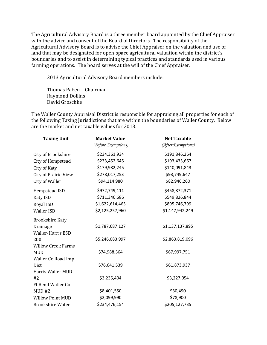The Agricultural Advisory Board is a three member board appointed by the Chief Appraiser with the advice and consent of the Board of Directors. The responsibility of the Agricultural Advisory Board is to advise the Chief Appraiser on the valuation and use of land that may be designated for open-space agricultural valuation within the district's boundaries and to assist in determining typical practices and standards used in various farming operations. The board serves at the will of the Chief Appraiser.

2013 Agricultural Advisory Board members include:

 Thomas Paben – Chairman Raymond Dollins David Groschke

The Waller County Appraisal District is responsible for appraising all properties for each of the following Taxing Jurisdictions that are within the boundaries of Waller County. Below are the market and net taxable values for 2013.

| <b>Taxing Unit</b>          | <b>Market Value</b> | <b>Net Taxable</b> |  |
|-----------------------------|---------------------|--------------------|--|
|                             | (Before Exemptions) | (After Exemptions) |  |
| City of Brookshire          | \$234,361,934       | \$191,846,264      |  |
| City of Hempstead           | \$233,452,645       | \$193,433,667      |  |
| City of Katy                | \$179,982,245       | \$140,091,843      |  |
| <b>City of Prairie View</b> | \$278,017,253       | \$93,749,647       |  |
| City of Waller              | \$94,114,980        | \$82,946,260       |  |
| Hempstead ISD               | \$972,749,111       | \$458,872,371      |  |
| <b>Katy ISD</b>             | \$711,346,686       | \$549,826,844      |  |
| Royal ISD                   | \$1,622,614,463     | \$895,746,799      |  |
| <b>Waller ISD</b>           | \$2,125,257,960     | \$1,147,942,249    |  |
| <b>Brookshire Katy</b>      |                     |                    |  |
| Drainage                    | \$1,787,687,127     | \$1,137,137,895    |  |
| <b>Waller-Harris ESD</b>    |                     |                    |  |
| 200                         | \$5,246,083,997     | \$2,863,819,096    |  |
| <b>Willow Creek Farms</b>   |                     |                    |  |
| <b>MUD</b>                  | \$74,988,564        | \$67,997,751       |  |
| Waller Co Road Imp          |                     |                    |  |
| Dist                        | \$76,641,539        | \$61,873,937       |  |
| Harris Waller MUD           |                     |                    |  |
| #2                          | \$3,235,404         | \$3,227,054        |  |
| <b>Ft Bend Waller Co</b>    |                     |                    |  |
| MUD#2                       | \$8,401,550         | \$30,490           |  |
| <b>Willow Point MUD</b>     | \$2,099,990         | \$78,900           |  |
| <b>Brookshire Water</b>     | \$234,476,154       | \$205,127,735      |  |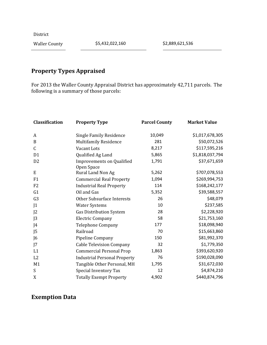District

Waller County  $$5,432,022,160$   $$2,889,621,536$ 

# **Property Types Appraised**

For 2013 the Waller County Appraisal District has approximately 42,711 parcels. The following is a summary of those parcels:

| Classification   | <b>Property Type</b>                           | <b>Parcel County</b> | <b>Market Value</b> |  |
|------------------|------------------------------------------------|----------------------|---------------------|--|
| $\boldsymbol{A}$ | <b>Single Family Residence</b>                 | 10,049               | \$1,017,678,305     |  |
| B                | <b>Multifamily Residence</b>                   | 281                  | \$50,072,526        |  |
| C                | Vacant Lots                                    | 8,217                | \$117,595,216       |  |
| D <sub>1</sub>   | Qualified Ag Land                              | 5,865                | \$1,818,037,794     |  |
| D <sub>2</sub>   | <b>Improvements on Qualified</b><br>Open Space | 1,791                | \$37,671,659        |  |
| E                | Rural Land Non Ag                              | 5,262                | \$707,078,553       |  |
| F1               | <b>Commercial Real Property</b>                | 1,094                | \$269,994,753       |  |
| F <sub>2</sub>   | <b>Industrial Real Property</b>                | 114                  | \$168,242,177       |  |
| G1               | Oil and Gas                                    | 5,352                | \$39,588,557        |  |
| G <sub>3</sub>   | Other Subsurface Interests                     | 26                   | \$48,079            |  |
| J <sub>1</sub>   | <b>Water Systems</b>                           | 10                   | \$237,585           |  |
| J <sub>2</sub>   | <b>Gas Distribution System</b>                 | 28                   | \$2,228,920         |  |
| J3               | <b>Electric Company</b>                        | 58                   | \$21,753,160        |  |
| J4               | <b>Telephone Company</b>                       | 177                  | \$18,098,940        |  |
| J <sub>5</sub>   | Railroad                                       | 70                   | \$15,663,860        |  |
| J <sub>6</sub>   | Pipeline Company                               | 150                  | \$81,992,370        |  |
| J7               | <b>Cable Television Company</b>                | 32                   | \$1,779,350         |  |
| L1               | <b>Commercial Personal Prop</b>                | 1,863                | \$393,620,920       |  |
| L <sub>2</sub>   | <b>Industrial Personal Property</b>            | 76                   | \$190,028,090       |  |
| M1               | Tangible Other Personal, MH                    | 1,795                | \$31,672,030        |  |
| S                | Special Inventory Tax                          | 12                   | \$4,874,210         |  |
| X                | <b>Totally Exempt Property</b>                 | 4,902                | \$440,874,796       |  |

#### **Exemption Data**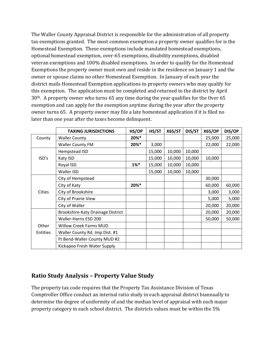The Waller County Appraisal District is responsible for the administration of all property tax exemptions granted. The most common exemption a property owner qualifies for is the Homestead Exemption. These exemptions include mandated homestead exemptions, optional homestead exemption, over-65 exemptions, disability exemptions, disabled veteran exemptions and 100% disabled exemptions. In order to qualify for the Homestead Exemptions the property owner must own and reside in the residence on January 1 and the owner or spouse claims no other Homestead Exemption. In January of each year the district mails Homestead Exemption applications to property owners who may qualify for this exemption. The application must be completed and returned to the district by April 30th. A property owner who turns 65 any time during the year qualifies for the Over 65 exemption and can apply for the exemption anytime during the year after the property owner turns 65. A property owner may file a late homestead application if it is filed no later than one year after the taxes become delinquent.

|               | <b>TAXING JURISDICTIONS</b>       | HS/OP  | HS/ST  | <b>X65/ST</b> | DIS/ST | <b>X65/OP</b> | DIS/OP |
|---------------|-----------------------------------|--------|--------|---------------|--------|---------------|--------|
| County        | <b>Waller County</b>              | 20%*   |        |               |        | 25,000        | 25,000 |
|               | <b>Waller County FM</b>           | 20%*   | 3,000  |               |        | 22,000        | 22,000 |
| ISD's         | Hempstead ISD                     |        | 15,000 | 10,000        | 10,000 |               |        |
|               | Katy ISD                          |        | 15,000 | 10,000        | 10,000 | 10,000        |        |
|               | Royal ISD                         | $1\%*$ | 15,000 | 10,000        | 10,000 |               |        |
|               | Waller ISD                        |        | 15,000 | 10,000        | 10,000 |               |        |
| <b>Cities</b> | City of Hempstead                 |        |        |               |        | 30,000        |        |
|               | City of Katy                      | 20%*   |        |               |        | 60,000        | 60,000 |
|               | City of Brookshire                |        |        |               |        | 3,000         | 3,000  |
|               | <b>City of Prairie View</b>       |        |        |               |        | 5,000         | 5,000  |
|               | City of Waller                    |        |        |               |        | 20,000        | 20,000 |
|               | Brookshire-Katy Drainage District |        |        |               |        | 20,000        | 20,000 |
|               | Waller-Harris ESD 200             |        |        |               |        | 50,000        | 50,000 |
| Other         | <b>Willow Creek Farms MUD</b>     |        |        |               |        |               |        |
| Entities      | Waller County Rd. Imp Dist. #1    |        |        |               |        |               |        |
|               | Ft Bend-Waller County MUD #2      |        |        |               |        |               |        |
|               | Kickapoo Fresh Water Supply       |        |        |               |        |               |        |

#### **Ratio Study Analysis – Property Value Study**

The property tax code requires that the Property Tax Assistance Division of Texas Comptroller Office conduct an internal ratio study in each appraisal district biannually to determine the degree of uniformity of and the median level of appraisal with each major property category in each school district. The districts values must be within the 5%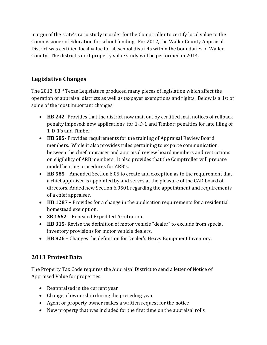margin of the state's ratio study in order for the Comptroller to certify local value to the Commissioner of Education for school funding. For 2012, the Waller County Appraisal District was certified local value for all school districts within the boundaries of Waller County. The district's next property value study will be performed in 2014.

## **Legislative Changes**

The 2013, 83rd Texas Legislature produced many pieces of legislation which affect the operation of appraisal districts as well as taxpayer exemptions and rights. Below is a list of some of the most important changes:

- **HB 242-** Provides that the district now mail out by certified mail notices of rollback penalty imposed; new applications for 1-D-1 and Timber; penalties for late filing of 1-D-1's and Timber;
- **HB 585-** Provides requirements for the training of Appraisal Review Board members. While it also provides rules pertaining to ex parte communication between the chief appraiser and appraisal review board members and restrictions on eligibility of ARB members. It also provides that the Comptroller will prepare model hearing procedures for ARB's.
- **HB 585 –** Amended Section 6.05 to create and exception as to the requirement that a chief appraiser is appointed by and serves at the pleasure of the CAD board of directors. Added new Section 6.0501 regarding the appointment and requirements of a chief appraiser.
- **HB 1287 –** Provides for a change in the application requirements for a residential homestead exemption.
- **SB 1662** Repealed Expedited Arbitration.
- **HB 315-** Revise the definition of motor vehicle "dealer" to exclude from special inventory provisions for motor vehicle dealers.
- **HB 826 –** Changes the definition for Dealer's Heavy Equipment Inventory.

#### **2013 Protest Data**

The Property Tax Code requires the Appraisal District to send a letter of Notice of Appraised Value for properties:

- Reappraised in the current year
- Change of ownership during the preceding year
- Agent or property owner makes a written request for the notice
- New property that was included for the first time on the appraisal rolls